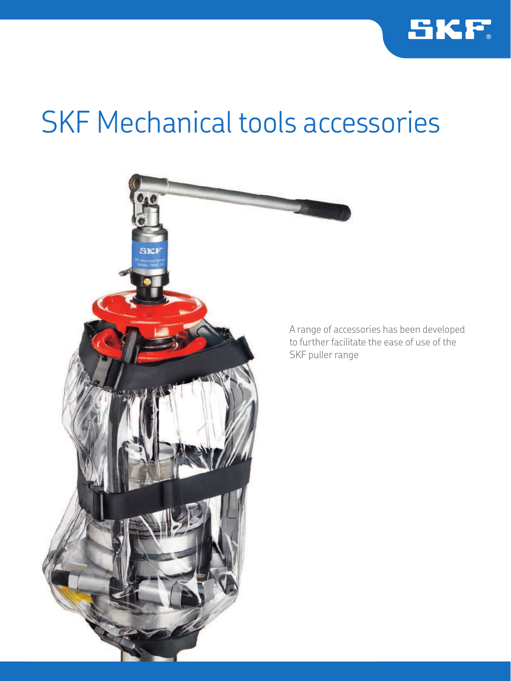

# SKF Mechanical tools accessories



A range of accessories has been developed to further facilitate the ease of use of the SKF puller range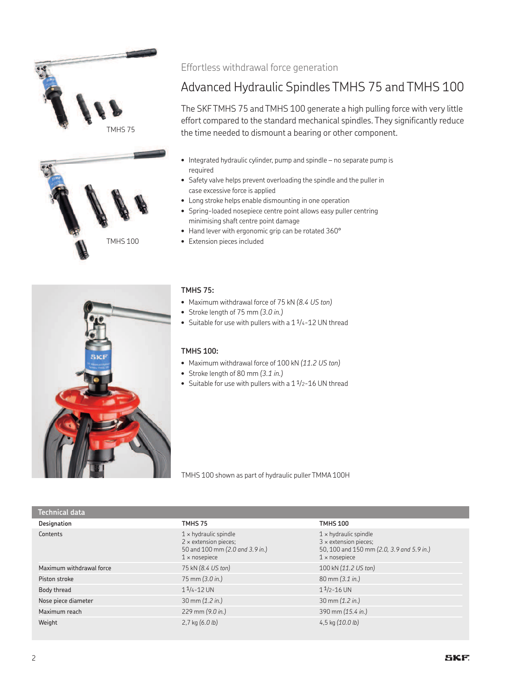





### Effortless withdrawal force generation

## Advanced Hydraulic Spindles TMHS 75 and TMHS 100

The SKF TMHS 75 and TMHS 100 generate a high pulling force with very little effort compared to the standard mechanical spindles. They significantly reduce the time needed to dismount a bearing or other component.

- Integrated hydraulic cylinder, pump and spindle no separate pump is required
- Safety valve helps prevent overloading the spindle and the puller in case excessive force is applied
- Long stroke helps enable dismounting in one operation
- Spring-loaded nosepiece centre point allows easy puller centring minimising shaft centre point damage
- Hand lever with ergonomic grip can be rotated 360°
- TMHS 100 Extension pieces included

#### **TMHS 75:**

- Maximum withdrawal force of 75 kN *(8.4 US ton)*
- Stroke length of 75 mm *(3.0 in.)*
- Suitable for use with pullers with a  $1\frac{1}{4}$ -12 UN thread

### **TMHS 100:**

- Maximum withdrawal force of 100 kN *(11.2 US ton)*
- Stroke length of 80 mm *(3.1 in.)*
- Suitable for use with pullers with a  $1\frac{1}{2}$ -16 UN thread

TMHS 100 shown as part of hydraulic puller TMMA 100H

| Technical data           |                                                                                                                         |                                                                                                                                   |
|--------------------------|-------------------------------------------------------------------------------------------------------------------------|-----------------------------------------------------------------------------------------------------------------------------------|
| Designation              | TMHS 75                                                                                                                 | <b>TMHS 100</b>                                                                                                                   |
| Contents                 | $1 \times$ hydraulic spindle<br>$2 \times$ extension pieces;<br>50 and 100 mm (2.0 and 3.9 in.)<br>$1 \times$ nosepiece | $1 \times$ hydraulic spindle<br>$3 \times$ extension pieces;<br>50, 100 and 150 mm (2.0, 3.9 and 5.9 in.)<br>$1 \times$ nosepiece |
| Maximum withdrawal force | 75 kN (8.4 US ton)                                                                                                      | 100 kN (11.2 US ton)                                                                                                              |
| Piston stroke            | 75 mm (3.0 in.)                                                                                                         | 80 mm (3.1 in.)                                                                                                                   |
| Body thread              | $11/4 - 12$ UN                                                                                                          | $11/2 - 16$ UN                                                                                                                    |
| Nose piece diameter      | 30 mm (1.2 in.)                                                                                                         | 30 mm (1.2 in.)                                                                                                                   |
| Maximum reach            | 229 mm (9.0 in.)                                                                                                        | 390 mm (15.4 in.)                                                                                                                 |
| Weight                   | $2,7$ kg $(6.0 \text{ lb})$                                                                                             | 4,5 kg $(10.0 \text{ lb})$                                                                                                        |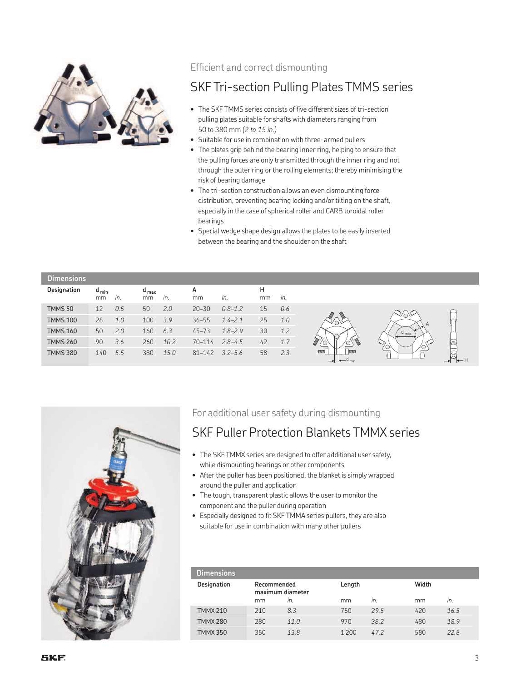

### Efficient and correct dismounting

### SKF Tri-section Pulling Plates TMMS series

- The SKF TMMS series consists of five different sizes of tri-section pulling plates suitable for shafts with diameters ranging from 50 to 380 mm *(2 to 15 in.)*
- Suitable for use in combination with three-armed pullers
- The plates grip behind the bearing inner ring, helping to ensure that the pulling forces are only transmitted through the inner ring and not through the outer ring or the rolling elements; thereby minimising the risk of bearing damage
- The tri-section construction allows an even dismounting force distribution, preventing bearing locking and/or tilting on the shaft, especially in the case of spherical roller and CARB toroidal roller bearings
- Special wedge shape design allows the plates to be easily inserted between the bearing and the shoulder on the shaft

| <b>Dimensions</b> |                 |     |                 |      |            |             |         |     |                  |     |
|-------------------|-----------------|-----|-----------------|------|------------|-------------|---------|-----|------------------|-----|
| Designation       | $d_{min}$<br>mm | in. | $d_{max}$<br>mm | in.  | А<br>mm    | in.         | н<br>mm | in. |                  |     |
| <b>TMMS 50</b>    | 12              | 0.5 | 50              | 2.0  | $20 - 30$  | $0.8 - 1.2$ | 15      | 0.6 |                  |     |
| <b>TMMS 100</b>   | 26              | 1.0 | 100             | 3.9  | $36 - 55$  | $1.4 - 2.1$ | 25      | 1.0 |                  |     |
| <b>TMMS 160</b>   | 50              | 2.0 | 160             | 6.3  | $45 - 73$  | $1.8 - 2.9$ | 30      | 1.2 | $u_{\text{max}}$ |     |
| <b>TMMS 260</b>   | 90              | 3.6 | 260             | 10.2 | $70 - 114$ | $2.8 - 4.5$ | 42      | 1.7 |                  | b   |
| <b>TMMS 380</b>   | 140             | 5.5 | 380             | 15.0 | $81 - 142$ | $3.2 - 5.6$ | 58      | 2.3 |                  | ┶─Н |



### For additional user safety during dismounting

### SKF Puller Protection Blankets TMMX series

- The SKF TMMX series are designed to offer additional user safety, while dismounting bearings or other components
- After the puller has been positioned, the blanket is simply wrapped around the puller and application
- The tough, transparent plastic allows the user to monitor the component and the puller during operation
- Especially designed to fit SKF TMMA series pullers, they are also suitable for use in combination with many other pullers

| Dimensions      |                                 |      |         |      |     |       |  |
|-----------------|---------------------------------|------|---------|------|-----|-------|--|
| Designation     | Recommended<br>maximum diameter |      | Length  |      |     | Width |  |
|                 | mm                              | In.  | mm      | in.  | mm  | in.   |  |
| <b>TMMX 210</b> | 210                             | 8.3  | 750     | 29.5 | 420 | 16.5  |  |
| <b>TMMX 280</b> | 280                             | 11.0 | 970     | 38.2 | 480 | 18.9  |  |
| <b>TMMX 350</b> | 350                             | 13.8 | 1 2 0 0 | 47.2 | 580 | 22.8  |  |